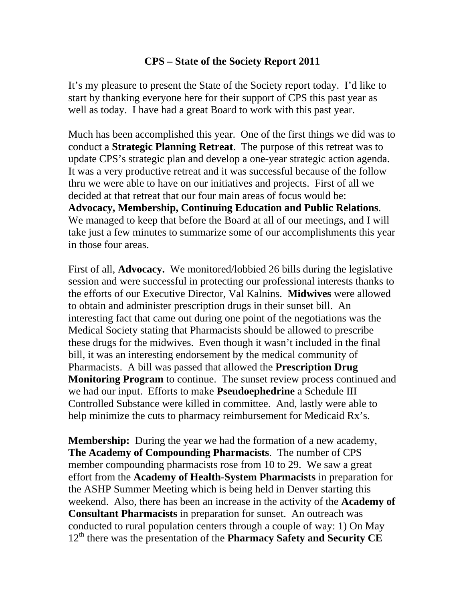## **CPS – State of the Society Report 2011**

It's my pleasure to present the State of the Society report today. I'd like to start by thanking everyone here for their support of CPS this past year as well as today. I have had a great Board to work with this past year.

Much has been accomplished this year. One of the first things we did was to conduct a **Strategic Planning Retreat**. The purpose of this retreat was to update CPS's strategic plan and develop a one-year strategic action agenda. It was a very productive retreat and it was successful because of the follow thru we were able to have on our initiatives and projects. First of all we decided at that retreat that our four main areas of focus would be: **Advocacy, Membership, Continuing Education and Public Relations**. We managed to keep that before the Board at all of our meetings, and I will take just a few minutes to summarize some of our accomplishments this year in those four areas.

First of all, **Advocacy.** We monitored/lobbied 26 bills during the legislative session and were successful in protecting our professional interests thanks to the efforts of our Executive Director, Val Kalnins. **Midwives** were allowed to obtain and administer prescription drugs in their sunset bill. An interesting fact that came out during one point of the negotiations was the Medical Society stating that Pharmacists should be allowed to prescribe these drugs for the midwives. Even though it wasn't included in the final bill, it was an interesting endorsement by the medical community of Pharmacists. A bill was passed that allowed the **Prescription Drug Monitoring Program** to continue. The sunset review process continued and we had our input. Efforts to make **Pseudoephedrine** a Schedule III Controlled Substance were killed in committee. And, lastly were able to help minimize the cuts to pharmacy reimbursement for Medicaid Rx's.

**Membership:** During the year we had the formation of a new academy, **The Academy of Compounding Pharmacists**. The number of CPS member compounding pharmacists rose from 10 to 29. We saw a great effort from the **Academy of Health-System Pharmacists** in preparation for the ASHP Summer Meeting which is being held in Denver starting this weekend. Also, there has been an increase in the activity of the **Academy of Consultant Pharmacists** in preparation for sunset. An outreach was conducted to rural population centers through a couple of way: 1) On May 12th there was the presentation of the **Pharmacy Safety and Security CE**